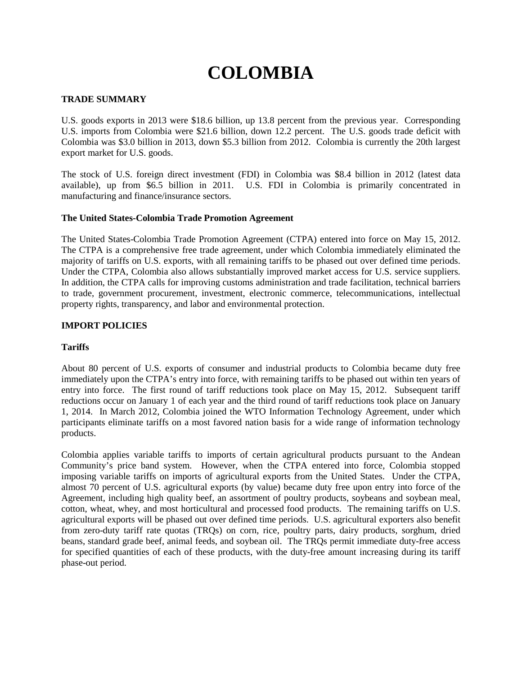# **COLOMBIA**

### **TRADE SUMMARY**

U.S. goods exports in 2013 were \$18.6 billion, up 13.8 percent from the previous year. Corresponding U.S. imports from Colombia were \$21.6 billion, down 12.2 percent. The U.S. goods trade deficit with Colombia was \$3.0 billion in 2013, down \$5.3 billion from 2012. Colombia is currently the 20th largest export market for U.S. goods.

The stock of U.S. foreign direct investment (FDI) in Colombia was \$8.4 billion in 2012 (latest data available), up from \$6.5 billion in 2011. U.S. FDI in Colombia is primarily concentrated in manufacturing and finance/insurance sectors.

#### **The United States-Colombia Trade Promotion Agreement**

The United States-Colombia Trade Promotion Agreement (CTPA) entered into force on May 15, 2012. The CTPA is a comprehensive free trade agreement, under which Colombia immediately eliminated the majority of tariffs on U.S. exports, with all remaining tariffs to be phased out over defined time periods. Under the CTPA, Colombia also allows substantially improved market access for U.S. service suppliers. In addition, the CTPA calls for improving customs administration and trade facilitation, technical barriers to trade, government procurement, investment, electronic commerce, telecommunications, intellectual property rights, transparency, and labor and environmental protection.

# **IMPORT POLICIES**

#### **Tariffs**

About 80 percent of U.S. exports of consumer and industrial products to Colombia became duty free immediately upon the CTPA's entry into force, with remaining tariffs to be phased out within ten years of entry into force. The first round of tariff reductions took place on May 15, 2012. Subsequent tariff reductions occur on January 1 of each year and the third round of tariff reductions took place on January 1, 2014. In March 2012, Colombia joined the WTO Information Technology Agreement, under which participants eliminate tariffs on a most favored nation basis for a wide range of information technology products.

Colombia applies variable tariffs to imports of certain agricultural products pursuant to the Andean Community's price band system. However, when the CTPA entered into force, Colombia stopped imposing variable tariffs on imports of agricultural exports from the United States. Under the CTPA, almost 70 percent of U.S. agricultural exports (by value) became duty free upon entry into force of the Agreement, including high quality beef, an assortment of poultry products, soybeans and soybean meal, cotton, wheat, whey, and most horticultural and processed food products. The remaining tariffs on U.S. agricultural exports will be phased out over defined time periods. U.S. agricultural exporters also benefit from zero-duty tariff rate quotas (TRQs) on corn, rice, poultry parts, dairy products, sorghum, dried beans, standard grade beef, animal feeds, and soybean oil. The TRQs permit immediate duty-free access for specified quantities of each of these products, with the duty-free amount increasing during its tariff phase-out period.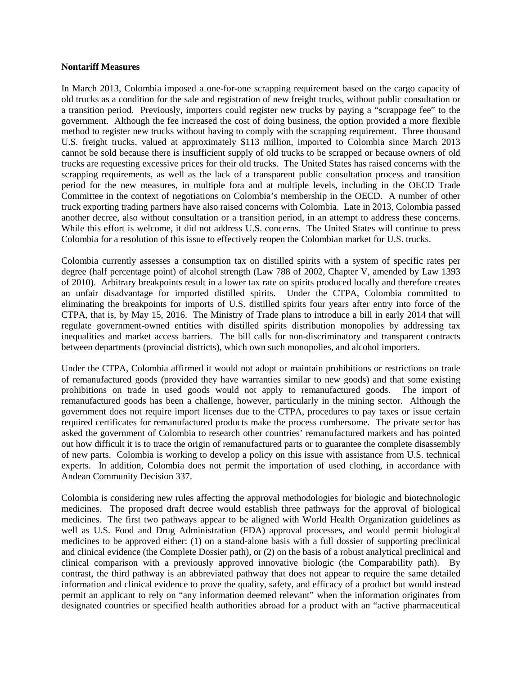#### **Nontariff Measures**

In March 2013, Colombia imposed a one-for-one scrapping requirement based on the cargo capacity of old trucks as a condition for the sale and registration of new freight trucks, without public consultation or a transition period. Previously, importers could register new trucks by paying a "scrappage fee" to the government. Although the fee increased the cost of doing business, the option provided a more flexible method to register new trucks without having to comply with the scrapping requirement. Three thousand U.S. freight trucks, valued at approximately \$113 million, imported to Colombia since March 2013 cannot be sold because there is insufficient supply of old trucks to be scrapped or because owners of old trucks are requesting excessive prices for their old trucks. The United States has raised concerns with the scrapping requirements, as well as the lack of a transparent public consultation process and transition period for the new measures, in multiple fora and at multiple levels, including in the OECD Trade Committee in the context of negotiations on Colombia's membership in the OECD. A number of other truck exporting trading partners have also raised concerns with Colombia. Late in 2013, Colombia passed another decree, also without consultation or a transition period, in an attempt to address these concerns. While this effort is welcome, it did not address U.S. concerns. The United States will continue to press Colombia for a resolution of this issue to effectively reopen the Colombian market for U.S. trucks.

Colombia currently assesses a consumption tax on distilled spirits with a system of specific rates per degree (half percentage point) of alcohol strength (Law 788 of 2002, Chapter V, amended by Law 1393 of 2010). Arbitrary breakpoints result in a lower tax rate on spirits produced locally and therefore creates an unfair disadvantage for imported distilled spirits. Under the CTPA, Colombia committed to eliminating the breakpoints for imports of U.S. distilled spirits four years after entry into force of the CTPA, that is, by May 15, 2016. The Ministry of Trade plans to introduce a bill in early 2014 that will regulate government-owned entities with distilled spirits distribution monopolies by addressing tax inequalities and market access barriers. The bill calls for non-discriminatory and transparent contracts between departments (provincial districts), which own such monopolies, and alcohol importers.

Under the CTPA, Colombia affirmed it would not adopt or maintain prohibitions or restrictions on trade of remanufactured goods (provided they have warranties similar to new goods) and that some existing prohibitions on trade in used goods would not apply to remanufactured goods. The import of remanufactured goods has been a challenge, however, particularly in the mining sector. Although the government does not require import licenses due to the CTPA, procedures to pay taxes or issue certain required certificates for remanufactured products make the process cumbersome. The private sector has asked the government of Colombia to research other countries' remanufactured markets and has pointed out how difficult it is to trace the origin of remanufactured parts or to guarantee the complete disassembly of new parts. Colombia is working to develop a policy on this issue with assistance from U.S. technical experts. In addition, Colombia does not permit the importation of used clothing, in accordance with Andean Community Decision 337.

Colombia is considering new rules affecting the approval methodologies for biologic and biotechnologic medicines. The proposed draft decree would establish three pathways for the approval of biological medicines. The first two pathways appear to be aligned with World Health Organization guidelines as well as U.S. Food and Drug Administration (FDA) approval processes, and would permit biological medicines to be approved either: (1) on a stand-alone basis with a full dossier of supporting preclinical and clinical evidence (the Complete Dossier path), or (2) on the basis of a robust analytical preclinical and clinical comparison with a previously approved innovative biologic (the Comparability path). By contrast, the third pathway is an abbreviated pathway that does not appear to require the same detailed information and clinical evidence to prove the quality, safety, and efficacy of a product but would instead permit an applicant to rely on "any information deemed relevant" when the information originates from designated countries or specified health authorities abroad for a product with an "active pharmaceutical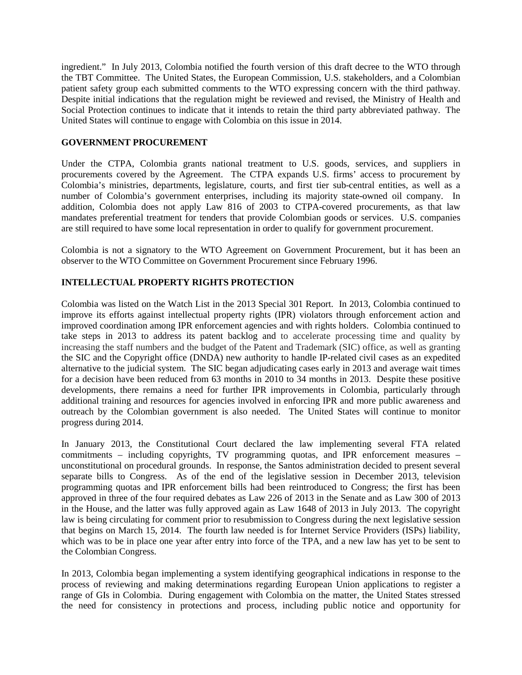ingredient." In July 2013, Colombia notified the fourth version of this draft decree to the WTO through the TBT Committee. The United States, the European Commission, U.S. stakeholders, and a Colombian patient safety group each submitted comments to the WTO expressing concern with the third pathway. Despite initial indications that the regulation might be reviewed and revised, the Ministry of Health and Social Protection continues to indicate that it intends to retain the third party abbreviated pathway. The United States will continue to engage with Colombia on this issue in 2014.

# **GOVERNMENT PROCUREMENT**

Under the CTPA, Colombia grants national treatment to U.S. goods, services, and suppliers in procurements covered by the Agreement. The CTPA expands U.S. firms' access to procurement by Colombia's ministries, departments, legislature, courts, and first tier sub-central entities, as well as a number of Colombia's government enterprises, including its majority state-owned oil company. In addition, Colombia does not apply Law 816 of 2003 to CTPA-covered procurements, as that law mandates preferential treatment for tenders that provide Colombian goods or services. U.S. companies are still required to have some local representation in order to qualify for government procurement.

Colombia is not a signatory to the WTO Agreement on Government Procurement, but it has been an observer to the WTO Committee on Government Procurement since February 1996.

# **INTELLECTUAL PROPERTY RIGHTS PROTECTION**

Colombia was listed on the Watch List in the 2013 Special 301 Report. In 2013, Colombia continued to improve its efforts against intellectual property rights (IPR) violators through enforcement action and improved coordination among IPR enforcement agencies and with rights holders. Colombia continued to take steps in 2013 to address its patent backlog and to accelerate processing time and quality by increasing the staff numbers and the budget of the Patent and Trademark (SIC) office, as well as granting the SIC and the Copyright office (DNDA) new authority to handle IP-related civil cases as an expedited alternative to the judicial system. The SIC began adjudicating cases early in 2013 and average wait times for a decision have been reduced from 63 months in 2010 to 34 months in 2013. Despite these positive developments, there remains a need for further IPR improvements in Colombia, particularly through additional training and resources for agencies involved in enforcing IPR and more public awareness and outreach by the Colombian government is also needed. The United States will continue to monitor progress during 2014.

In January 2013, the Constitutional Court declared the law implementing several FTA related commitments – including copyrights, TV programming quotas, and IPR enforcement measures – unconstitutional on procedural grounds. In response, the Santos administration decided to present several separate bills to Congress. As of the end of the legislative session in December 2013, television programming quotas and IPR enforcement bills had been reintroduced to Congress; the first has been approved in three of the four required debates as Law 226 of 2013 in the Senate and as Law 300 of 2013 in the House, and the latter was fully approved again as Law 1648 of 2013 in July 2013. The copyright law is being circulating for comment prior to resubmission to Congress during the next legislative session that begins on March 15, 2014. The fourth law needed is for Internet Service Providers (ISPs) liability, which was to be in place one year after entry into force of the TPA, and a new law has yet to be sent to the Colombian Congress.

In 2013, Colombia began implementing a system identifying geographical indications in response to the process of reviewing and making determinations regarding European Union applications to register a range of GIs in Colombia. During engagement with Colombia on the matter, the United States stressed the need for consistency in protections and process, including public notice and opportunity for